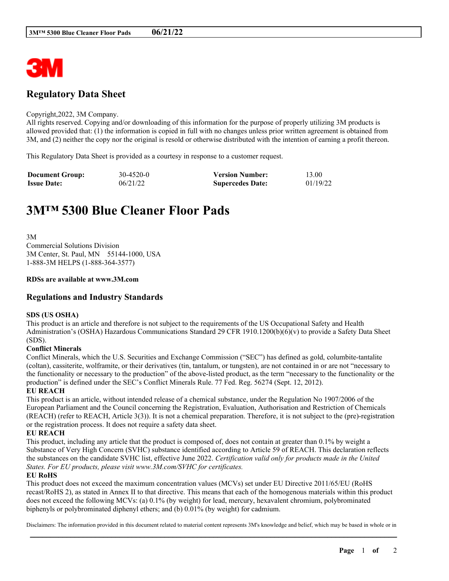

## **Regulatory Data Sheet**

#### Copyright,2022, 3M Company.

All rights reserved. Copying and/or downloading of this information for the purpose of properly utilizing 3M products is allowed provided that: (1) the information is copied in full with no changes unless prior written agreement is obtained from 3M, and (2) neither the copy nor the original is resold or otherwise distributed with the intention of earning a profit thereon.

This Regulatory Data Sheet is provided as a courtesy in response to a customer request.

| <b>Document Group:</b> | 30-4520-0 | <b>Version Number:</b>  | 13.00    |
|------------------------|-----------|-------------------------|----------|
| <b>Issue Date:</b>     | 06/21/22  | <b>Supercedes Date:</b> | 01/19/22 |

# **3M™ 5300 Blue Cleaner Floor Pads**

3M Commercial Solutions Division 3M Center, St. Paul, MN 55144-1000, USA 1-888-3M HELPS (1-888-364-3577)

### **RDSs are available at www.3M.com**

## **Regulations and Industry Standards**

### **SDS (US OSHA)**

This product is an article and therefore is not subject to the requirements of the US Occupational Safety and Health Administration's (OSHA) Hazardous Communications Standard 29 CFR 1910.1200(b)(6)(v) to provide a Safety Data Sheet (SDS).

## **Conflict Minerals**

Conflict Minerals, which the U.S. Securities and Exchange Commission ("SEC") has defined as gold, columbite-tantalite (coltan), cassiterite, wolframite, or their derivatives (tin, tantalum, or tungsten), are not contained in or are not "necessary to the functionality or necessary to the production" of the above-listed product, as the term "necessary to the functionality or the production" is defined under the SEC's Conflict Minerals Rule. 77 Fed. Reg. 56274 (Sept. 12, 2012).

**EU REACH**

This product is an article, without intended release of a chemical substance, under the Regulation No 1907/2006 of the European Parliament and the Council concerning the Registration, Evaluation, Authorisation and Restriction of Chemicals (REACH) (refer to REACH, Article 3(3)). It is not a chemical preparation. Therefore, it is not subject to the (pre)-registration or the registration process. It does not require a safety data sheet.

## **EU REACH**

This product, including any article that the product is composed of, does not contain at greater than 0.1% by weight a Substance of Very High Concern (SVHC) substance identified according to Article 59 of REACH. This declaration reflects the substances on the candidate SVHC list, effective June 2022. *Certification valid only for products made in the United States. For EU products, please visit www.3M.com/SVHC for certificates.*

### **EU RoHS**

This product does not exceed the maximum concentration values (MCVs) set under EU Directive 2011/65/EU (RoHS recast/RoHS 2), as stated in Annex II to that directive. This means that each of the homogenous materials within this product does not exceed the following MCVs: (a) 0.1% (by weight) for lead, mercury, hexavalent chromium, polybrominated biphenyls or polybrominated diphenyl ethers; and (b) 0.01% (by weight) for cadmium.

\_\_\_\_\_\_\_\_\_\_\_\_\_\_\_\_\_\_\_\_\_\_\_\_\_\_\_\_\_\_\_\_\_\_\_\_\_\_\_\_\_\_\_\_\_\_\_\_\_\_\_\_\_\_\_\_\_\_\_\_\_\_\_\_\_\_\_\_\_\_\_\_\_\_\_\_\_\_\_\_\_\_\_\_\_\_\_\_\_\_ Disclaimers: The information provided in this document related to material content represents 3M's knowledge and belief, which may be based in whole or in